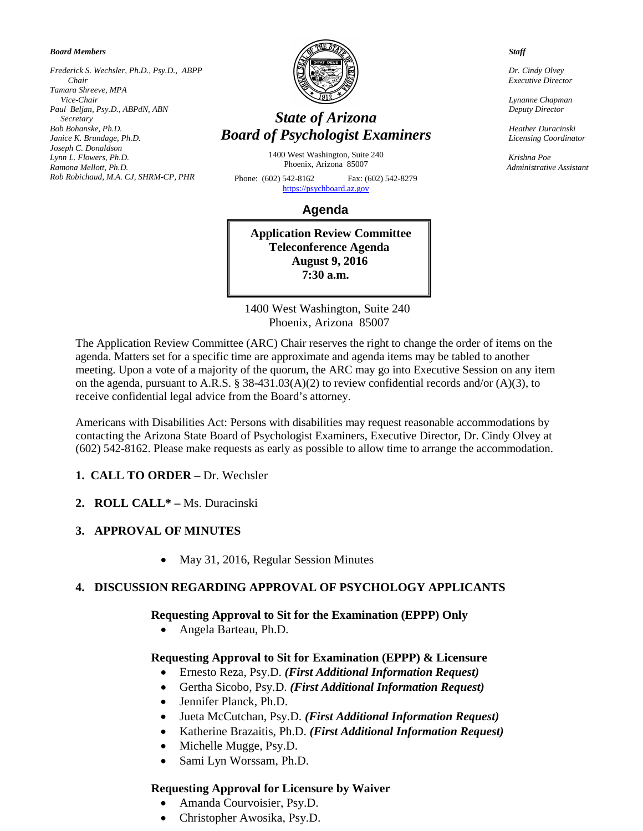*Board Members*

*Frederick S. Wechsler, Ph.D., Psy.D., ABPP Chair Tamara Shreeve, MPA Vice-Chair Paul Beljan, Psy.D., ABPdN, ABN Secretary Bob Bohanske, Ph.D. Janice K. Brundage, Ph.D. Joseph C. Donaldson Lynn L. Flowers, Ph.D. Ramona Mellott, Ph.D. Rob Robichaud, M.A. CJ, SHRM-CP, PHR* 



# *State of Arizona Board of Psychologist Examiners*

1400 West Washington, Suite 240 Phoenix, Arizona 85007

Phone: (602) 542-8162 Fax: (602) 542-8279 [https://psychboard.az.gov](https://psychboard.az.gov/) 

 **Agenda**

**Application Review Committee Teleconference Agenda August 9, 2016 7:30 a.m.**

 1400 West Washington, Suite 240 Phoenix, Arizona 85007

The Application Review Committee (ARC) Chair reserves the right to change the order of items on the agenda. Matters set for a specific time are approximate and agenda items may be tabled to another meeting. Upon a vote of a majority of the quorum, the ARC may go into Executive Session on any item on the agenda, pursuant to A.R.S. § 38-431.03(A)(2) to review confidential records and/or (A)(3), to receive confidential legal advice from the Board's attorney.

Americans with Disabilities Act: Persons with disabilities may request reasonable accommodations by contacting the Arizona State Board of Psychologist Examiners, Executive Director, Dr. Cindy Olvey at (602) 542-8162. Please make requests as early as possible to allow time to arrange the accommodation.

## **1. CALL TO ORDER –** Dr. Wechsler

**2. ROLL CALL\* –** Ms. Duracinski

## **3. APPROVAL OF MINUTES**

• May 31, 2016, Regular Session Minutes

## **4. DISCUSSION REGARDING APPROVAL OF PSYCHOLOGY APPLICANTS**

#### **Requesting Approval to Sit for the Examination (EPPP) Only**

• Angela Barteau, Ph.D.

## **Requesting Approval to Sit for Examination (EPPP) & Licensure**

- Ernesto Reza, Psy.D. *(First Additional Information Request)*
- Gertha Sicobo, Psy.D. *(First Additional Information Request)*
- Jennifer Planck, Ph.D.
- Jueta McCutchan, Psy.D. *(First Additional Information Request)*
- Katherine Brazaitis, Ph.D. *(First Additional Information Request)*
- Michelle Mugge, Psy.D.
- Sami Lyn Worssam, Ph.D.

#### **Requesting Approval for Licensure by Waiver**

- Amanda Courvoisier, Psy.D.
- Christopher Awosika, Psy.D.

 *Staff*

 *Dr. Cindy Olvey Executive Director*

 *Lynanne Chapman Deputy Director*

 *Heather Duracinski Licensing Coordinator*

 *Krishna Poe Administrative Assistant*